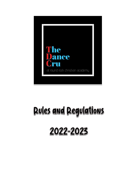

# **Pules and Pegulations**

# 2022-2023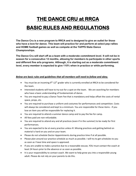## **THE DANCE CRU at RRCA BASIC RULES AND REGULATIONS**

**The Dance Cru is a new program to RRCA and is designed to give an outlet for those who have a love for dance. This team will practice for and perform at select pep rallies and HOME football games as well as compete at the TAPPS State Dance Championships.** 

**The Dance Cru will start off as a team with a moderate commitment level. It will not be in season for a consecutive 12 months, allowing for members to participate in other sports and different fine arts programs. Although, it is starting out as a moderate commitment level, every member is expected to give 110% when in practice or while performing.** 

#### *Below are basic rules and guidelines that all members will need to follow and obey.*

- You must be an incoming  $9<sup>th</sup> 12<sup>th</sup>$  grader who is currently enrolled at RRCA to be considered for the team.
- Interested students will have to try-out for a spot on the team. We are searching for members who have a basic understanding of fundamentals of dance.
- You are required to pay a Dance Team Fee that is mandatory and helps offset the costs of rental space, props, etc.
- You are required to purchase a uniform and costumes for performances and competition. Costs will always be considered and kept to a minimum. You are responsible for these items - if you lose an item you will be responsible for replacing it.
- You are required to attend a summer dance camp and to pay the fee for camp.
- All fees paid are non-refundable.
- You are required to attend any and all practices (even if in the summer) to be ready for first performances.
- You are expected to be at every practice unless ill. Missing practices and getting behind on material is hard on you and on your team.
- Please do not schedule Doctor Appointments during practice time if at all possible.
- Please plan around our practice schedule as much as possible. I will try to get schedules to you as soon as I have time and space is approved.
- If you are unable to make a practice due to a reasonable excuse, YOU must contact the coach at least 24 hours prior to the absence or as soon as possible.
- It is your responsibility to contact coach. We want to help grow you into a responsible young adult. Please do not rely on your parents to do this.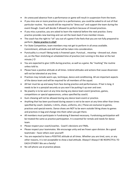- An unexcused absence from a performance or game will result in suspension from the team.
- If you miss one or more practices prior to a performance, you could be asked to sit out of that particular routine. You would still be required to "dress out" and support the team during the event though. Coach will decide if allowed to perform because of missed practices.
- If you miss a practice, you are asked to learn the material before the next practice. Every practice provides new learning and can set the team back if one member misses.
- The coach has the right to "sit" you out of a game if she feels that you are not fully prepared to perform. **Home practice is vital!**
- For State Competition, team members may not get to perform in all areas available. Commitment, attitude and skill level will be taken into consideration.
- Punctuality is a must!! Being tardy is frowned upon. Punctual… meaning dressed out, shoes on, on the floor stretching at scheduled time of practice (not running in the door at the last minute.)  $\odot$
- You are expected to give 110% during practice, as well as a game. No "marking" the routine unless told to.
- Please have a positive attitude at all times. Unkind attitudes and actions that cause dissension will not be tolerated at any time.
- Practices may include warm-ups, technique, dance and conditioning. All are important aspects of the dance team and will be required for all members of the squad.
- All hair must be up and away from face during practice and performances. If hair is long, it needs to be in a ponytail securely so you won't be putting it up over and over.
- No jewelry is to be worn at any time during any dance team event (practices, games, competitions or special appearances, unless specified by coach)
- Gum chewing will not be allowed during any dance team event or practice.
- Anything that has been purchased during season is not to be worn at any time other than times specified by coach. (Jackets, t-shirts, shoes, uniforms, etc.) These are exclusive to games, practices and special events. Dance shoes are NOT to be worn outside! Bring shoes to games and practices in bag and change into them when you get there.
- All members must participate in Fundraising if deemed necessary. Fundraising participation will be treated the same as practice participation. It is essential for rentals and needs for dance team.
- Please respect your coach/coaches. Coach's decisions are FINAL.
- Please respect your teammates. We encourage unity and we frown upon division. Be a good teammate – favor others over yourself!
- You are expected to have a POSITIVE attitude at all times. Whether you are tired, sore, or any other reasons, it is not acceptable to show a bad attitude. Always!! Always!! BE RESPECTFUL TO EACH OTHER!! We are a family!
- No cell phone use at practice please.